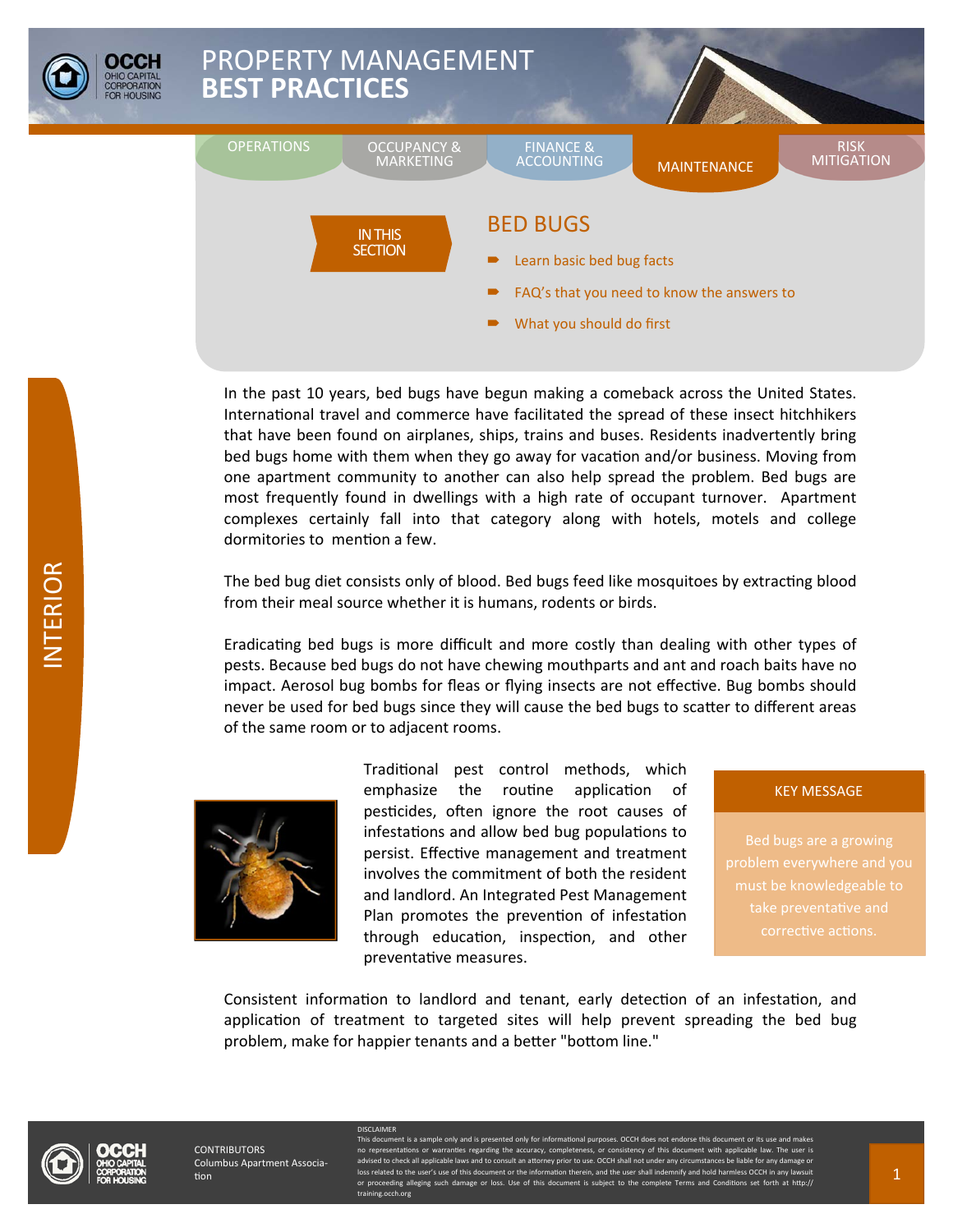

In the past 10 years, bed bugs have begun making a comeback across the United States. International travel and commerce have facilitated the spread of these insect hitchhikers that have been found on airplanes, ships, trains and buses. Residents inadvertently bring bed bugs home with them when they go away for vacation and/or business. Moving from one apartment community to another can also help spread the problem. Bed bugs are most frequently found in dwellings with a high rate of occupant turnover. Apartment complexes certainly fall into that category along with hotels, motels and college dormitories to mention a few.

The bed bug diet consists only of blood. Bed bugs feed like mosquitoes by extracting blood from their meal source whether it is humans, rodents or birds.

Eradicating bed bugs is more difficult and more costly than dealing with other types of pests. Because bed bugs do not have chewing mouthparts and ant and roach baits have no impact. Aerosol bug bombs for fleas or flying insects are not effective. Bug bombs should never be used for bed bugs since they will cause the bed bugs to scatter to different areas of the same room or to adjacent rooms.



Traditional pest control methods, which emphasize the routine application of pesticides, often ignore the root causes of infestations and allow bed bug populations to persist. Effective management and treatment involves the commitment of both the resident and landlord. An Integrated Pest Management Plan promotes the prevention of infestation through education, inspection, and other preventaƟve measures.

#### KEY MESSAGE

take preventative and

Consistent information to landlord and tenant, early detection of an infestation, and application of treatment to targeted sites will help prevent spreading the bed bug problem, make for happier tenants and a better "bottom line."



**CONTRIBUTORS** Columbus Apartment Associa-Ɵon

**DISCLAIMER** 

Int is a sample only and is presented only for informational purposes. OCCH does not en tations or warranties regarding the accuracy, completeness, or consistency of this docu<br>neck all applicable laws and to consult an attorney prior to use. OCCH shall not under any cir d to check all applicable laws and to consult an a loss related to the user's use of this document or the information therein, and the user shall indemnify and hold harmless OCCH in eding alleging such d ining.occh.org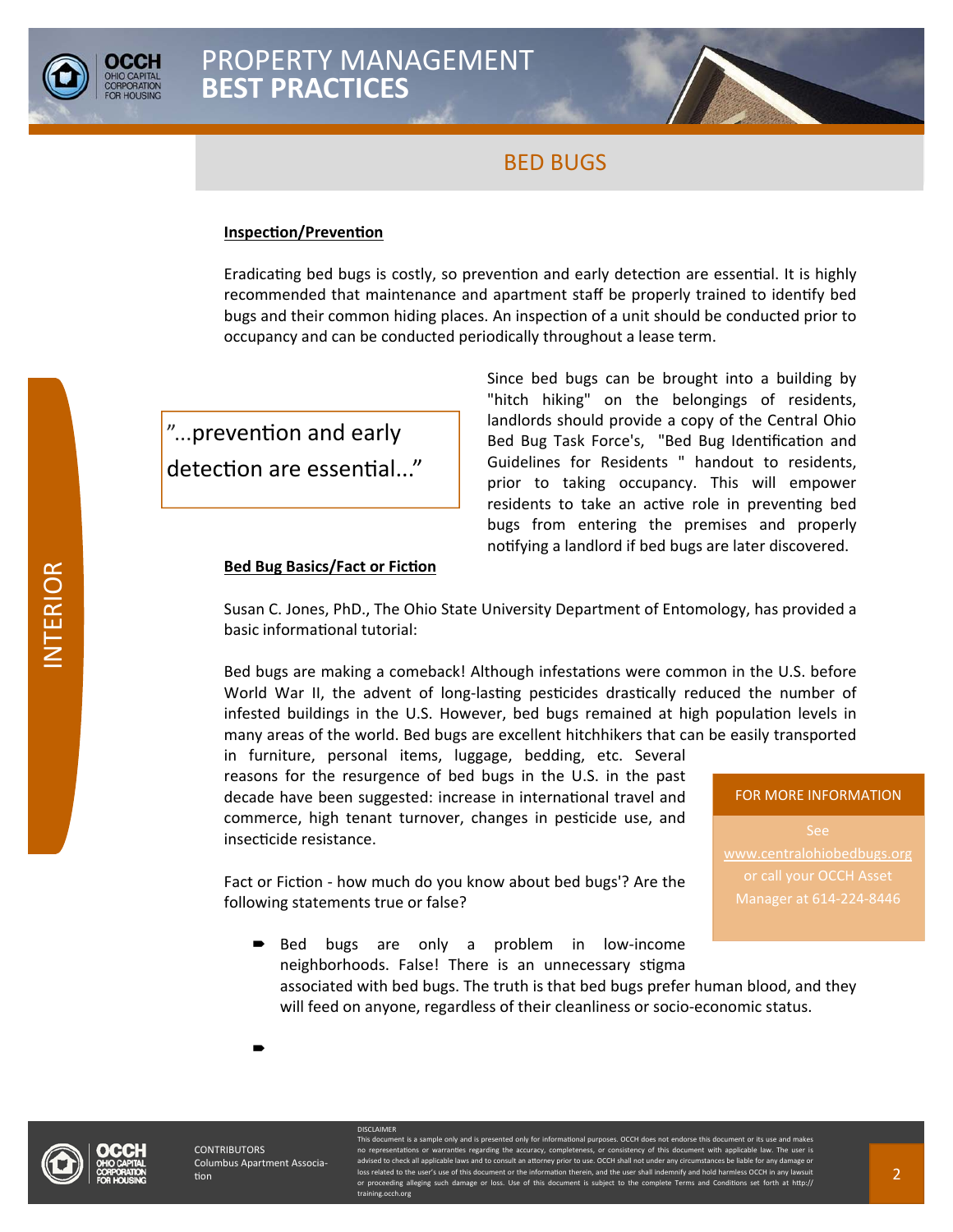

#### **InspecƟon/PrevenƟon**

Eradicating bed bugs is costly, so prevention and early detection are essential. It is highly recommended that maintenance and apartment staff be properly trained to identify bed bugs and their common hiding places. An inspection of a unit should be conducted prior to occupancy and can be conducted periodically throughout a lease term.

"...prevention and early detection are essential..." Since bed bugs can be brought into a building by "hitch hiking" on the belongings of residents, landlords should provide a copy of the Central Ohio Bed Bug Task Force's, "Bed Bug Identification and Guidelines for Residents " handout to residents, prior to taking occupancy. This will empower residents to take an active role in preventing bed bugs from entering the premises and properly notifying a landlord if bed bugs are later discovered.

#### **Bed Bug Basics/Fact or Fiction**

following statements true or false?

DISCLAIMER

Susan C. Jones, PhD., The Ohio State University Department of Entomology, has provided a basic informational tutorial:

Bed bugs are making a comeback! Although infestations were common in the U.S. before World War II, the advent of long-lasting pesticides drastically reduced the number of infested buildings in the U.S. However, bed bugs remained at high population levels in many areas of the world. Bed bugs are excellent hitchhikers that can be easily transported

in furniture, personal items, luggage, bedding, etc. Several reasons for the resurgence of bed bugs in the U.S. in the past decade have been suggested: increase in international travel and commerce, high tenant turnover, changes in pesticide use, and insecticide resistance.

Fact or Fiction - how much do you know about bed bugs'? Are the

#### FOR MORE INFORMATION

www.centralohiobedbugs.org or call your OCCH Asset Manager at 614-224-8446

Bed bugs are only a problem in low-income neighborhoods. False! There is an unnecessary stigma associated with bed bugs. The truth is that bed bugs prefer human blood, and they will feed on anyone, regardless of their cleanliness or socio-economic status.

**CONTRIBUTORS** Columbus Apartment Associa-Ɵon

 $\blacksquare$ 

This document is a sample only and is presented only for informational purposes. OCCH does not endorse this document or its use and makes no representations or warranties regarding the accuracy, completeness, or consistency of this document with applicable law. The user is advised to check all applicable laws and to consult an attorney prior to use. OCCH shall not under any circumstances be liable for any damage or loss related to the user's use of this docuing the user in the user shall in an indemnity and the user shall in or proceeding alleging such damage or loss. Use of this document is subject to the complete Terms and Conditions set forth at http:// ing.occh.org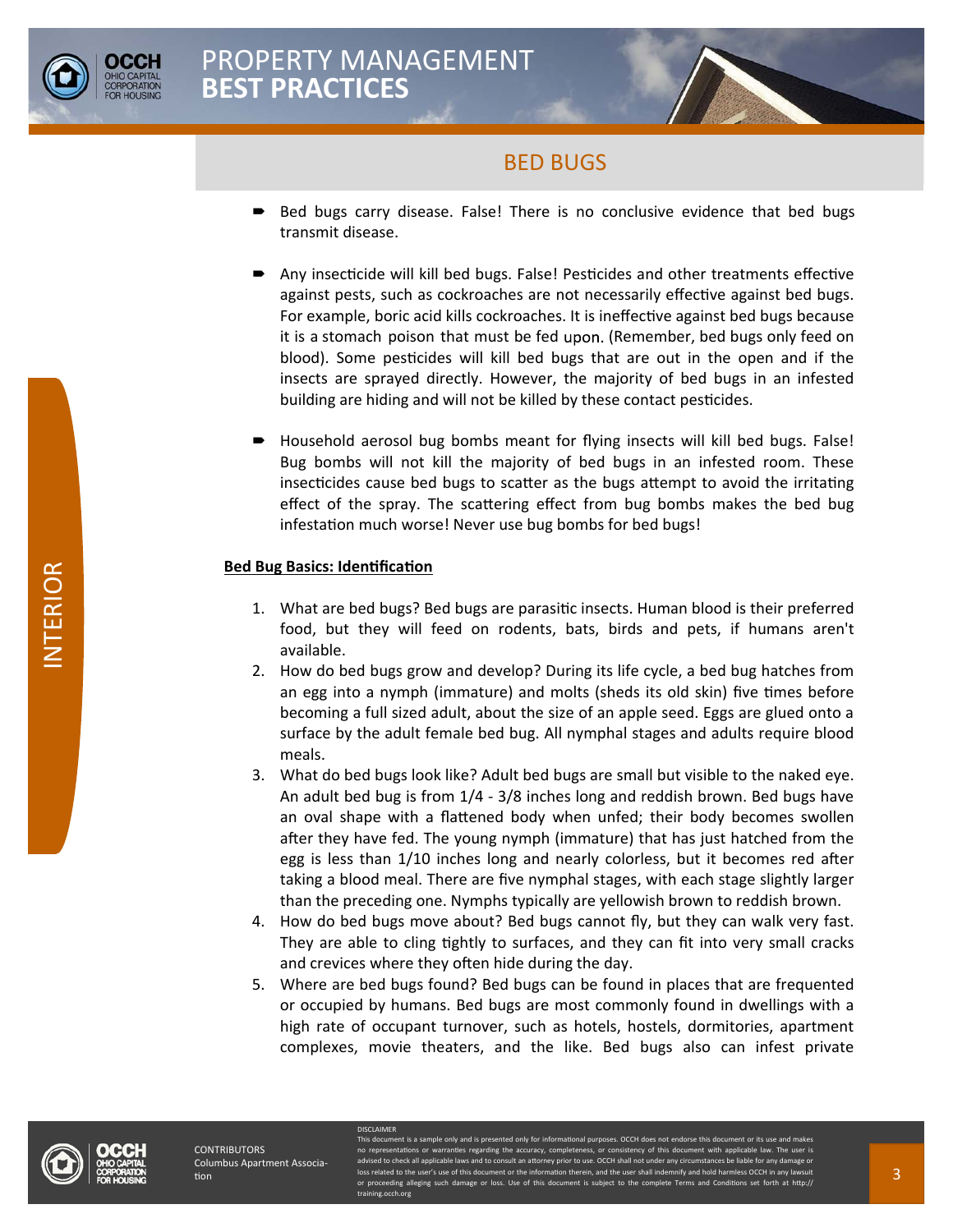

- Bed bugs carry disease. False! There is no conclusive evidence that bed bugs transmit disease.
- Any insecticide will kill bed bugs. False! Pesticides and other treatments effective against pests, such as cockroaches are not necessarily effective against bed bugs. For example, boric acid kills cockroaches. It is ineffective against bed bugs because it is a stomach poison that must be fed upon. (Remember, bed bugs only feed on blood). Some pesticides will kill bed bugs that are out in the open and if the insects are sprayed directly. However, the majority of bed bugs in an infested building are hiding and will not be killed by these contact pesticides.
- Household aerosol bug bombs meant for flying insects will kill bed bugs. False! Bug bombs will not kill the majority of bed bugs in an infested room. These insecticides cause bed bugs to scatter as the bugs attempt to avoid the irritating effect of the spray. The scattering effect from bug bombs makes the bed bug infestation much worse! Never use bug bombs for bed bugs!

### **Bed Bug Basics: Identification**

- 1. What are bed bugs? Bed bugs are parasitic insects. Human blood is their preferred food, but they will feed on rodents, bats, birds and pets, if humans aren't available.
- 2. How do bed bugs grow and develop? During its life cycle, a bed bug hatches from an egg into a nymph (immature) and molts (sheds its old skin) five times before becoming a full sized adult, about the size of an apple seed. Eggs are glued onto a surface by the adult female bed bug. All nymphal stages and adults require blood meals.
- 3. What do bed bugs look like? Adult bed bugs are small but visible to the naked eye. An adult bed bug is from 1/4 - 3/8 inches long and reddish brown. Bed bugs have an oval shape with a flattened body when unfed; their body becomes swollen after they have fed. The young nymph (immature) that has just hatched from the egg is less than 1/10 inches long and nearly colorless, but it becomes red after taking a blood meal. There are five nymphal stages, with each stage slightly larger than the preceding one. Nymphs typically are yellowish brown to reddish brown.
- 4. How do bed bugs move about? Bed bugs cannot fly, but they can walk very fast. They are able to cling tightly to surfaces, and they can fit into very small cracks and crevices where they often hide during the day.
- 5. Where are bed bugs found? Bed bugs can be found in places that are frequented or occupied by humans. Bed bugs are most commonly found in dwellings with a high rate of occupant turnover, such as hotels, hostels, dormitories, apartment complexes, movie theaters, and the like. Bed bugs also can infest private



**ISCLAIMER** 

nt is a sample only and is prest des regarding the advised to check all applicable laws and to consult an attorney prior to use. OCCH shall not under any circumstances be liable for any damage or loss related to the user's use of this document or the information therein, and the user shall indemnify and hold harmless OCCH i ding alleging such hing.occh.org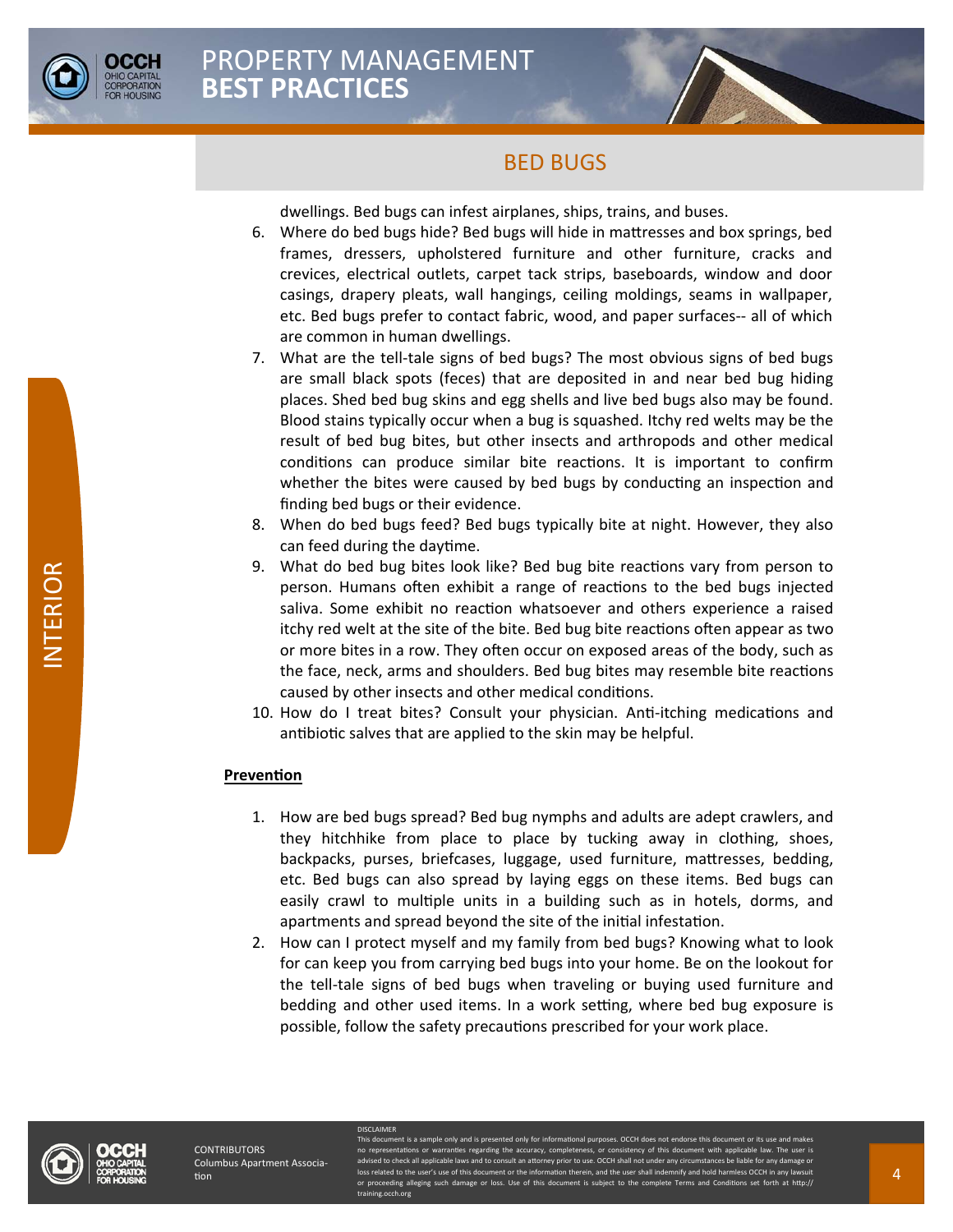

dwellings. Bed bugs can infest airplanes, ships, trains, and buses.

- 6. Where do bed bugs hide? Bed bugs will hide in mattresses and box springs, bed frames, dressers, upholstered furniture and other furniture, cracks and crevices, electrical outlets, carpet tack strips, baseboards, window and door casings, drapery pleats, wall hangings, ceiling moldings, seams in wallpaper, etc. Bed bugs prefer to contact fabric, wood, and paper surfaces-- all of which are common in human dwellings.
- 7. What are the tell-tale signs of bed bugs? The most obvious signs of bed bugs are small black spots (feces) that are deposited in and near bed bug hiding places. Shed bed bug skins and egg shells and live bed bugs also may be found. Blood stains typically occur when a bug is squashed. Itchy red welts may be the result of bed bug bites, but other insects and arthropods and other medical conditions can produce similar bite reactions. It is important to confirm whether the bites were caused by bed bugs by conducting an inspection and finding bed bugs or their evidence.
- 8. When do bed bugs feed? Bed bugs typically bite at night. However, they also can feed during the daytime.
- 9. What do bed bug bites look like? Bed bug bite reactions vary from person to person. Humans often exhibit a range of reactions to the bed bugs injected saliva. Some exhibit no reaction whatsoever and others experience a raised itchy red welt at the site of the bite. Bed bug bite reactions often appear as two or more bites in a row. They often occur on exposed areas of the body, such as the face, neck, arms and shoulders. Bed bug bites may resemble bite reactions caused by other insects and other medical conditions.
- 10. How do I treat bites? Consult your physician. Anti-itching medications and antibiotic salves that are applied to the skin may be helpful.

### **PrevenƟon**

- 1. How are bed bugs spread? Bed bug nymphs and adults are adept crawlers, and they hitchhike from place to place by tucking away in clothing, shoes, backpacks, purses, briefcases, luggage, used furniture, mattresses, bedding, etc. Bed bugs can also spread by laying eggs on these items. Bed bugs can easily crawl to multiple units in a building such as in hotels, dorms, and apartments and spread beyond the site of the initial infestation.
- 2. How can I protect myself and my family from bed bugs? Knowing what to look for can keep you from carrying bed bugs into your home. Be on the lookout for the tell-tale signs of bed bugs when traveling or buying used furniture and bedding and other used items. In a work setting, where bed bug exposure is possible, follow the safety precautions prescribed for your work place.



DISCLAIMER

This document is a sample only and is presented only for informational purposes. OCCH does not endorse this document or its use and makes no representations or warranties regarding the accuracy, completeness, or consistency of this document with applicable law. The user is advised to check all applicable laws and to consult an attorney prior to use. OCCH shall not under any circumstances be liable for any damage or loss related to the user's use of this docum or proceeding alleging such damage or loss. Use of this document is subject to the complete Terms and Conditions set forth at http:// ing.occh.org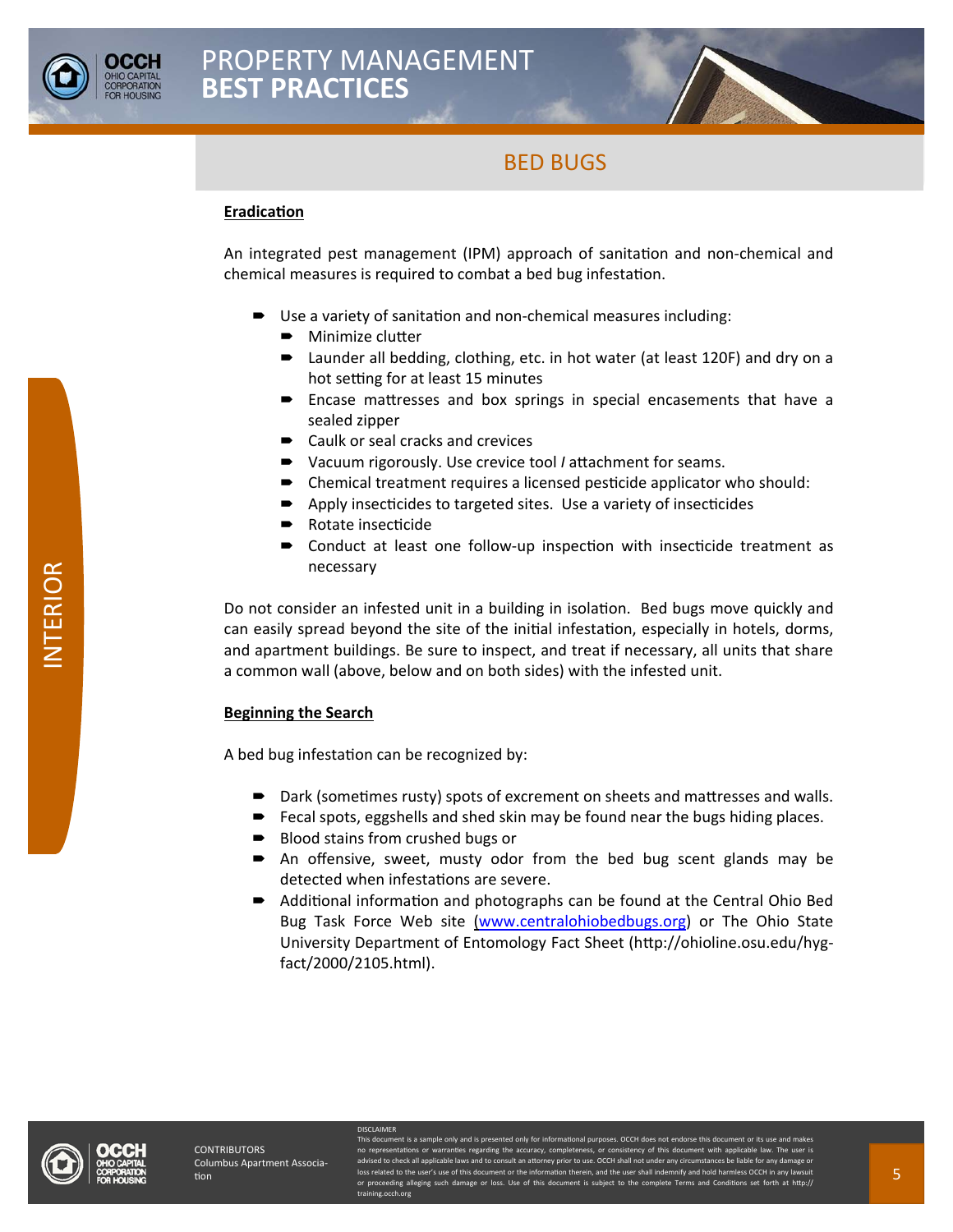



#### **EradicaƟon**

An integrated pest management (IPM) approach of sanitation and non-chemical and chemical measures is required to combat a bed bug infestation.

- Use a variety of sanitation and non-chemical measures including:
	- Minimize clutter
	- Launder all bedding, clothing, etc. in hot water (at least 120F) and dry on a hot setting for at least 15 minutes
	- **Encase mattresses and box springs in special encasements that have a** sealed zipper
	- Caulk or seal cracks and crevices
	- Vacuum rigorously. Use crevice tool *I* attachment for seams.
	- $\blacktriangleright$  Chemical treatment requires a licensed pesticide applicator who should:
	- Apply insecticides to targeted sites. Use a variety of insecticides
	- Rotate insecticide
	- Conduct at least one follow-up inspection with insecticide treatment as necessary

Do not consider an infested unit in a building in isolation. Bed bugs move quickly and can easily spread beyond the site of the initial infestation, especially in hotels, dorms, and apartment buildings. Be sure to inspect, and treat if necessary, all units that share a common wall (above, below and on both sides) with the infested unit.

#### **Beginning the Search**

A bed bug infestation can be recognized by:

- Dark (sometimes rusty) spots of excrement on sheets and mattresses and walls.
- Fecal spots, eggshells and shed skin may be found near the bugs hiding places.
- Blood stains from crushed bugs or

DISCLAIMER

- An offensive, sweet, musty odor from the bed bug scent glands may be detected when infestations are severe.
- Additional information and photographs can be found at the Central Ohio Bed Bug Task Force Web site (www.centralohiobedbugs.org) or The Ohio State University Department of Entomology Fact Sheet (http://ohioline.osu.edu/hygfact/2000/2105.html).



This document is a sample only and is presented only for informational purposes. OCCH does not endorse this document or its use and makes no representations or warranties regarding the accuracy, completeness, or consistency of this document with applicable law. The user is advised to check all applicable laws and to consult an attorney prior to use. OCCH shall not under any circumstances be liable for any damage or loss related to the user's use of this docu or proceeding alleging such damage or loss. Use of this document is subject to the complete Terms and Conditions set forth at http:// ing.occh.org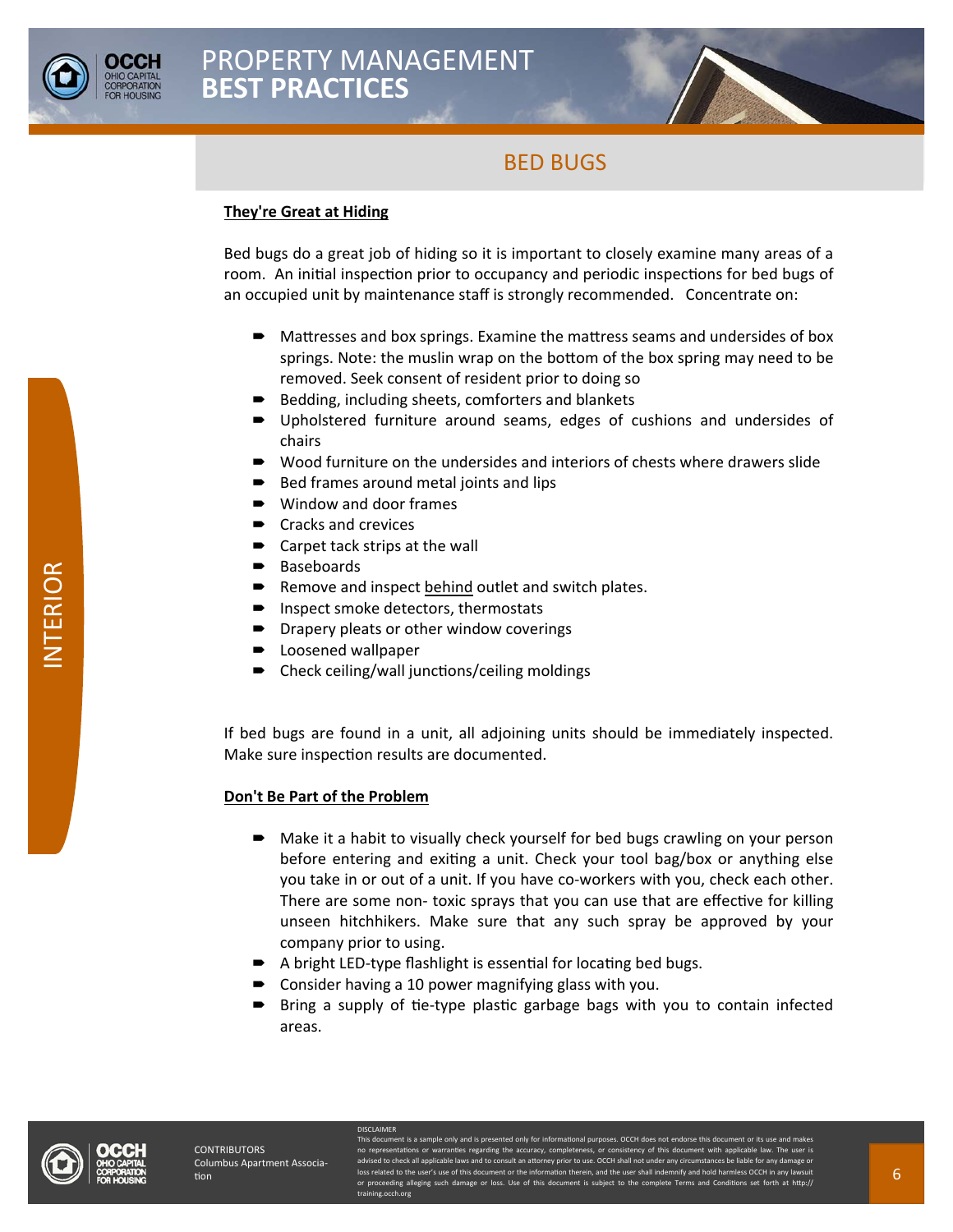



### **They're Great at Hiding**

Bed bugs do a great job of hiding so it is important to closely examine many areas of a room. An initial inspection prior to occupancy and periodic inspections for bed bugs of an occupied unit by maintenance staff is strongly recommended. Concentrate on:

- $\blacksquare$  Mattresses and box springs. Examine the mattress seams and undersides of box springs. Note: the muslin wrap on the bottom of the box spring may need to be removed. Seek consent of resident prior to doing so
- Bedding, including sheets, comforters and blankets
- Upholstered furniture around seams, edges of cushions and undersides of chairs
- Wood furniture on the undersides and interiors of chests where drawers slide
- Bed frames around metal joints and lips
- Window and door frames
- Cracks and crevices
- Carpet tack strips at the wall
- Baseboards
- Remove and inspect behind outlet and switch plates.
- Inspect smoke detectors, thermostats
- Drapery pleats or other window coverings
- Loosened wallpaper
- Check ceiling/wall junctions/ceiling moldings

If bed bugs are found in a unit, all adjoining units should be immediately inspected. Make sure inspection results are documented.

#### **Don't Be Part of the Problem**

- Make it a habit to visually check yourself for bed bugs crawling on your person before entering and exiting a unit. Check your tool bag/box or anything else you take in or out of a unit. If you have co-workers with you, check each other. There are some non- toxic sprays that you can use that are effective for killing unseen hitchhikers. Make sure that any such spray be approved by your company prior to using.
- $\blacktriangleright$  A bright LED-type flashlight is essential for locating bed bugs.
- Consider having a 10 power magnifying glass with you.

DISCLAIMER

Bring a supply of tie-type plastic garbage bags with you to contain infected areas.



This document is a sample only and is presented only for informational purposes. OCCH does not endorse this document or its use and makes no representations or warranties regarding the accuracy, completeness, or consistency of this document with applicable law. The user is advised to check all applicable laws and to consult an attorney prior to use. OCCH shall not under any circumstances be liable for any damage or loss related to the user's use of this docu or proceeding alleging such damage or loss. Use of this document is subject to the complete Terms and Conditions set forth at http:// ning.occh.org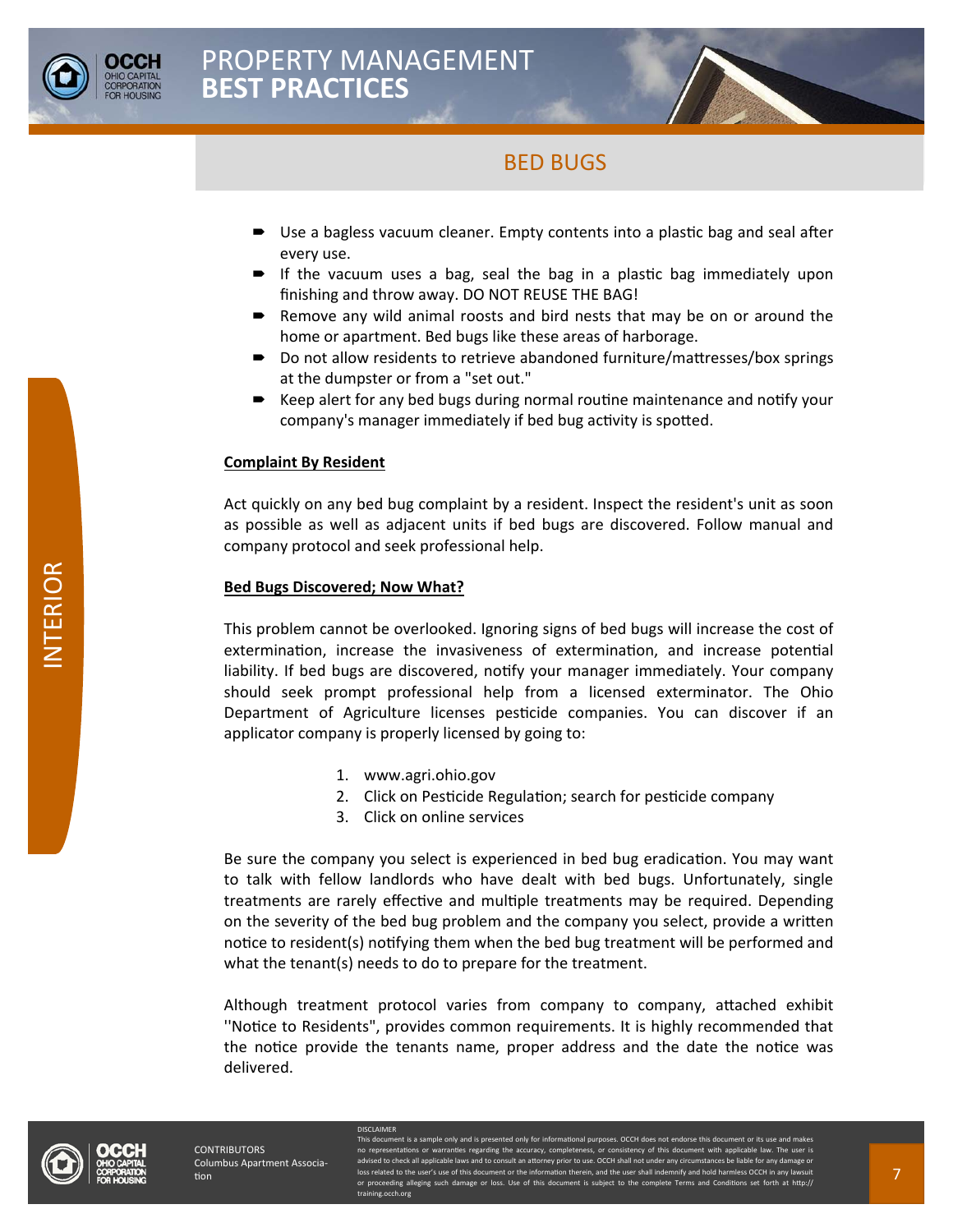

- Use a bagless vacuum cleaner. Empty contents into a plastic bag and seal after every use.
- If the vacuum uses a bag, seal the bag in a plastic bag immediately upon finishing and throw away. DO NOT REUSE THE BAG!
- Remove any wild animal roosts and bird nests that may be on or around the home or apartment. Bed bugs like these areas of harborage.
- Do not allow residents to retrieve abandoned furniture/mattresses/box springs at the dumpster or from a "set out."
- $\blacktriangleright$  Keep alert for any bed bugs during normal routine maintenance and notify your company's manager immediately if bed bug activity is spotted.

#### **Complaint By Resident**

Act quickly on any bed bug complaint by a resident. Inspect the resident's unit as soon as possible as well as adjacent units if bed bugs are discovered. Follow manual and company protocol and seek professional help.

#### **Bed Bugs Discovered; Now What?**

This problem cannot be overlooked. Ignoring signs of bed bugs will increase the cost of extermination, increase the invasiveness of extermination, and increase potential liability. If bed bugs are discovered, notify your manager immediately. Your company should seek prompt professional help from a licensed exterminator. The Ohio Department of Agriculture licenses pesticide companies. You can discover if an applicator company is properly licensed by going to:

1. www.agri.ohio.gov

**ISCLAIMER** 

- 2. Click on Pesticide Regulation; search for pesticide company
- 3. Click on online services

Be sure the company you select is experienced in bed bug eradication. You may want to talk with fellow landlords who have dealt with bed bugs. Unfortunately, single treatments are rarely effective and multiple treatments may be required. Depending on the severity of the bed bug problem and the company you select, provide a written notice to resident(s) notifying them when the bed bug treatment will be performed and what the tenant(s) needs to do to prepare for the treatment.

Although treatment protocol varies from company to company, attached exhibit ''NoƟce to Residents", provides common requirements. It is highly recommended that the notice provide the tenants name, proper address and the date the notice was delivered.



nt is a sample only and is pres ations or warranties regarding the a o check all applicable laws and to consult an attorney prior to use. OCCH shall not under any circumstances be l loss related to the user's use of this document or the information therein, and the user shall indemnify and hold harmless OCCH in eding alleging such damage or document is such the conding alleging subject to the condi ining.occh.org